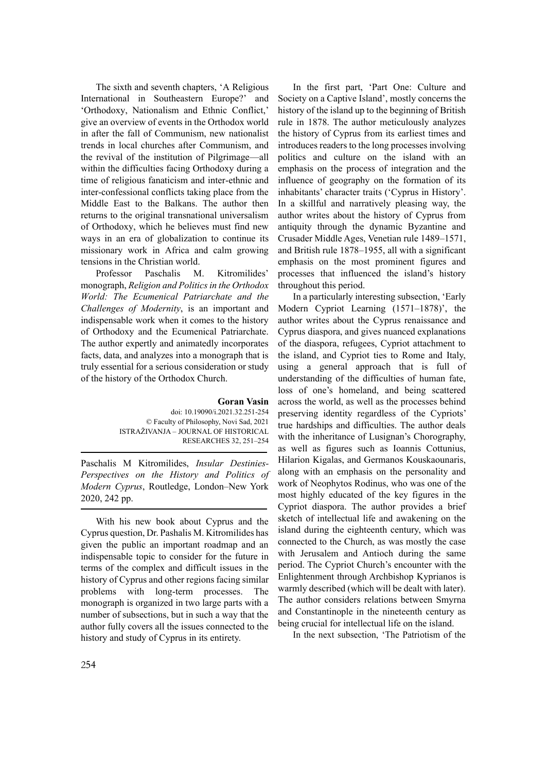The sixth and seventh chapters, 'A Religious International in Southeastern Europe?' and 'Orthodoxy, Nationalism and Ethnic Conflict,' give an overview of events in the Orthodox world in after the fall of Communism, new nationalist trends in local churches after Communism, and the revival of the institution of Pilgrimage—all within the difficulties facing Orthodoxy during a time of religious fanaticism and inter-ethnic and inter-confessional conflicts taking place from the Middle East to the Balkans. The author then returns to the original transnational universalism of Orthodoxy, which he believes must find new ways in an era of globalization to continue its missionary work in Africa and calm growing tensions in the Christian world.

Professor Paschalis M. Kitromilides' monograph, *Religion and Politicsin the Orthodox World: The Ecumenical Patriarchate and the Challenges of Modernity*, is an important and indispensable work when it comes to the history of Orthodoxy and the Ecumenical Patriarchate. The author expertly and animatedly incorporates facts, data, and analyzes into a monograph that is truly essential for a serious consideration or study of the history of the Orthodox Church.

## **Goran Vasin**

doi: 10.19090/i.2021.32.251-254 © Faculty of Philosophy, Novi Sad, 2021 ISTRAŽIVANJA – JOURNAL OF HISTORICAL RESEARCHES 32, 251–254

Paschalis M Kitromilides, *Insular Destinies-Perspectives on the History and Politics of Modern Cyprus*, Routledge, London–New York 2020, 242 pp.

With his new book about Cyprus and the Cyprus question, Dr. Pashalis M. Kitromilides has given the public an important roadmap and an indispensable topic to consider for the future in terms of the complex and difficult issues in the history of Cyprus and other regions facing similar problems with long-term processes. The monograph is organized in two large parts with a number of subsections, but in such a way that the author fully covers all the issues connected to the history and study of Cyprus in its entirety.

In the first part, 'Part One: Culture and Society on a Captive Island', mostly concerns the history of the island up to the beginning of British rule in 1878. The author meticulously analyzes the history of Cyprus from its earliest times and introduces readers to the long processes involving politics and culture on the island with an emphasis on the process of integration and the influence of geography on the formation of its inhabitants' character traits ('Cyprus in History'. In a skillful and narratively pleasing way, the author writes about the history of Cyprus from antiquity through the dynamic Byzantine and Crusader Middle Ages, Venetian rule 1489–1571, and British rule 1878–1955, all with a significant emphasis on the most prominent figures and processes that influenced the island's history throughout this period.

In a particularly interesting subsection, 'Early Modern Cypriot Learning (1571–1878)', the author writes about the Cyprus renaissance and Cyprus diaspora, and gives nuanced explanations of the diaspora, refugees, Cypriot attachment to the island, and Cypriot ties to Rome and Italy, using a general approach that is full of understanding of the difficulties of human fate, loss of one's homeland, and being scattered across the world, as well as the processes behind preserving identity regardless of the Cypriots' true hardships and difficulties. The author deals with the inheritance of Lusignan's Chorography, as well as figures such as Ioannis Cottunius, Hilarion Kigalas, and Germanos Kouskaounaris, along with an emphasis on the personality and work of Neophytos Rodinus, who was one of the most highly educated of the key figures in the Cypriot diaspora. The author provides a brief sketch of intellectual life and awakening on the island during the eighteenth century, which was connected to the Church, as was mostly the case with Jerusalem and Antioch during the same period. The Cypriot Church's encounter with the Enlightenment through Archbishop Kyprianos is warmly described (which will be dealt with later). The author considers relations between Smyrna and Constantinople in the nineteenth century as being crucial for intellectual life on the island.

In the next subsection, 'The Patriotism of the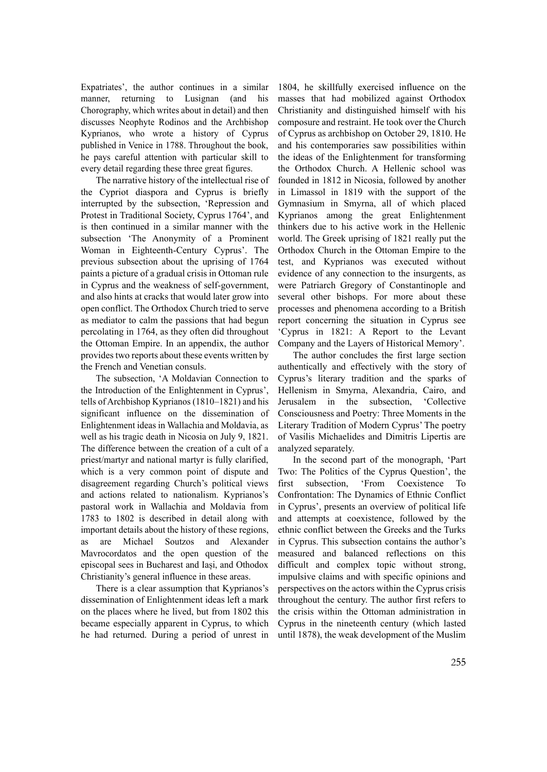Expatriates', the author continues in a similar manner, returning to Lusignan (and his Chorography, which writes about in detail) and then discusses Neophyte Rodinos and the Archbishop Kyprianos, who wrote a history of Cyprus published in Venice in 1788. Throughout the book, he pays careful attention with particular skill to every detail regarding these three great figures.

The narrative history of the intellectual rise of the Cypriot diaspora and Cyprus is briefly interrupted by the subsection, 'Repression and Protest in Traditional Society, Cyprus 1764', and is then continued in a similar manner with the subsection 'The Anonymity of a Prominent Woman in Eighteenth-Century Cyprus'. The previous subsection about the uprising of 1764 paints a picture of a gradual crisis in Ottoman rule in Cyprus and the weakness of self-government, and also hints at cracks that would later grow into open conflict. The Orthodox Church tried to serve as mediator to calm the passions that had begun percolating in 1764, as they often did throughout the Ottoman Empire. In an appendix, the author provides two reports about these events written by the French and Venetian consuls.

The subsection, 'A Moldavian Connection to the Introduction of the Enlightenment in Cyprus', tells of Archbishop Kyprianos (1810–1821) and his significant influence on the dissemination of Enlightenment ideas in Wallachia and Moldavia, as well as his tragic death in Nicosia on July 9, 1821. The difference between the creation of a cult of a priest/martyr and national martyr is fully clarified, which is a very common point of dispute and disagreement regarding Church's political views and actions related to nationalism. Kyprianos's pastoral work in Wallachia and Moldavia from 1783 to 1802 is described in detail along with important details about the history of these regions, as are Michael Soutzos and Alexander Mavrocordatos and the open question of the episcopal sees in Bucharest and Iași, and Othodox Christianity's general influence in these areas.

There is a clear assumption that Kyprianos's dissemination of Enlightenment ideas left a mark on the places where he lived, but from 1802 this became especially apparent in Cyprus, to which he had returned. During a period of unrest in

1804, he skillfully exercised influence on the masses that had mobilized against Orthodox Christianity and distinguished himself with his composure and restraint. He took over the Church of Cyprus as archbishop on October 29, 1810. He and his contemporaries saw possibilities within the ideas of the Enlightenment for transforming the Orthodox Church. A Hellenic school was founded in 1812 in Nicosia, followed by another in Limassol in 1819 with the support of the Gymnasium in Smyrna, all of which placed Kyprianos among the great Enlightenment thinkers due to his active work in the Hellenic world. The Greek uprising of 1821 really put the Orthodox Church in the Ottoman Empire to the test, and Kyprianos was executed without evidence of any connection to the insurgents, as were Patriarch Gregory of Constantinople and several other bishops. For more about these processes and phenomena according to a British report concerning the situation in Cyprus see 'Cyprus in 1821: A Report to the Levant Company and the Layers of Historical Memory'.

The author concludes the first large section authentically and effectively with the story of Cyprus's literary tradition and the sparks of Hellenism in Smyrna, Alexandria, Cairo, and Jerusalem in the subsection, 'Collective Consciousness and Poetry: Three Moments in the Literary Tradition of Modern Cyprus' The poetry of Vasilis Michaelides and Dimitris Lipertis are analyzed separately.

In the second part of the monograph, 'Part Two: The Politics of the Cyprus Question', the first subsection, 'From Coexistence To Confrontation: The Dynamics of Ethnic Conflict in Cyprus', presents an overview of political life and attempts at coexistence, followed by the ethnic conflict between the Greeks and the Turks in Cyprus. This subsection contains the author's measured and balanced reflections on this difficult and complex topic without strong, impulsive claims and with specific opinions and perspectives on the actors within the Cyprus crisis throughout the century. The author first refers to the crisis within the Ottoman administration in Cyprus in the nineteenth century (which lasted until 1878), the weak development of the Muslim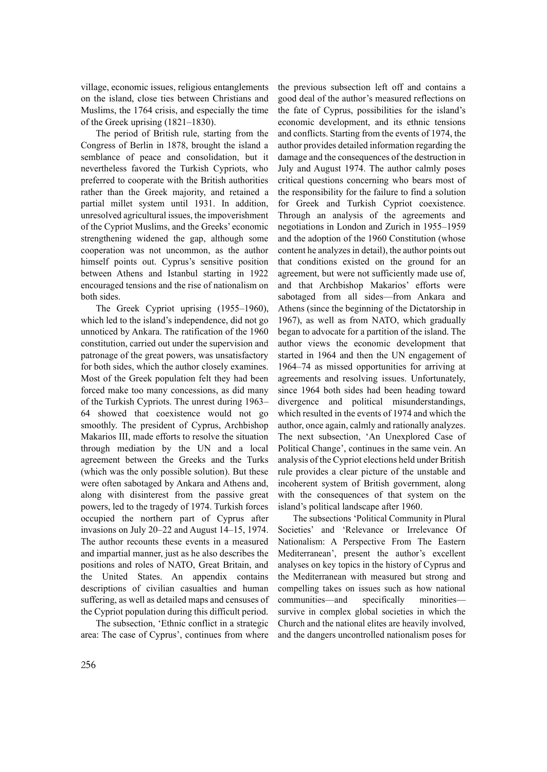village, economic issues, religious entanglements on the island, close ties between Christians and Muslims, the 1764 crisis, and especially the time of the Greek uprising (1821–1830).

The period of British rule, starting from the Congress of Berlin in 1878, brought the island a semblance of peace and consolidation, but it nevertheless favored the Turkish Cypriots, who preferred to cooperate with the British authorities rather than the Greek majority, and retained a partial millet system until 1931. In addition, unresolved agricultural issues, the impoverishment of the Cypriot Muslims, and the Greeks' economic strengthening widened the gap, although some cooperation was not uncommon, as the author himself points out. Cyprus's sensitive position between Athens and Istanbul starting in 1922 encouraged tensions and the rise of nationalism on both sides.

The Greek Cypriot uprising (1955–1960), which led to the island's independence, did not go unnoticed by Ankara. The ratification of the 1960 constitution, carried out under the supervision and patronage of the great powers, was unsatisfactory for both sides, which the author closely examines. Most of the Greek population felt they had been forced make too many concessions, as did many of the Turkish Cypriots. The unrest during 1963– 64 showed that coexistence would not go smoothly. The president of Cyprus, Archbishop Makarios III, made efforts to resolve the situation through mediation by the UN and a local agreement between the Greeks and the Turks (which was the only possible solution). But these were often sabotaged by Ankara and Athens and, along with disinterest from the passive great powers, led to the tragedy of 1974. Turkish forces occupied the northern part of Cyprus after invasions on July 20–22 and August 14–15, 1974. The author recounts these events in a measured and impartial manner, just as he also describes the positions and roles of NATO, Great Britain, and the United States. An appendix contains descriptions of civilian casualties and human suffering, as well as detailed maps and censuses of the Cypriot population during this difficult period.

The subsection, 'Ethnic conflict in a strategic area: The case of Cyprus', continues from where the previous subsection left off and contains a good deal of the author's measured reflections on the fate of Cyprus, possibilities for the island's economic development, and its ethnic tensions and conflicts. Starting from the events of 1974, the author provides detailed information regarding the damage and the consequences of the destruction in July and August 1974. The author calmly poses critical questions concerning who bears most of the responsibility for the failure to find a solution for Greek and Turkish Cypriot coexistence. Through an analysis of the agreements and negotiations in London and Zurich in 1955–1959 and the adoption of the 1960 Constitution (whose content he analyzes in detail), the author points out that conditions existed on the ground for an agreement, but were not sufficiently made use of, and that Archbishop Makarios' efforts were sabotaged from all sides—from Ankara and Athens (since the beginning of the Dictatorship in 1967), as well as from NATO, which gradually began to advocate for a partition of the island. The author views the economic development that started in 1964 and then the UN engagement of 1964–74 as missed opportunities for arriving at agreements and resolving issues. Unfortunately, since 1964 both sides had been heading toward divergence and political misunderstandings, which resulted in the events of 1974 and which the author, once again, calmly and rationally analyzes. The next subsection, 'An Unexplored Case of Political Change', continues in the same vein. An analysis of the Cypriot elections held under British rule provides a clear picture of the unstable and incoherent system of British government, along with the consequences of that system on the island's political landscape after 1960.

The subsections 'Political Community in Plural Societies' and 'Relevance or Irrelevance Of Nationalism: A Perspective From The Eastern Mediterranean', present the author's excellent analyses on key topics in the history of Cyprus and the Mediterranean with measured but strong and compelling takes on issues such as how national communities—and specifically minorities survive in complex global societies in which the Church and the national elites are heavily involved, and the dangers uncontrolled nationalism poses for